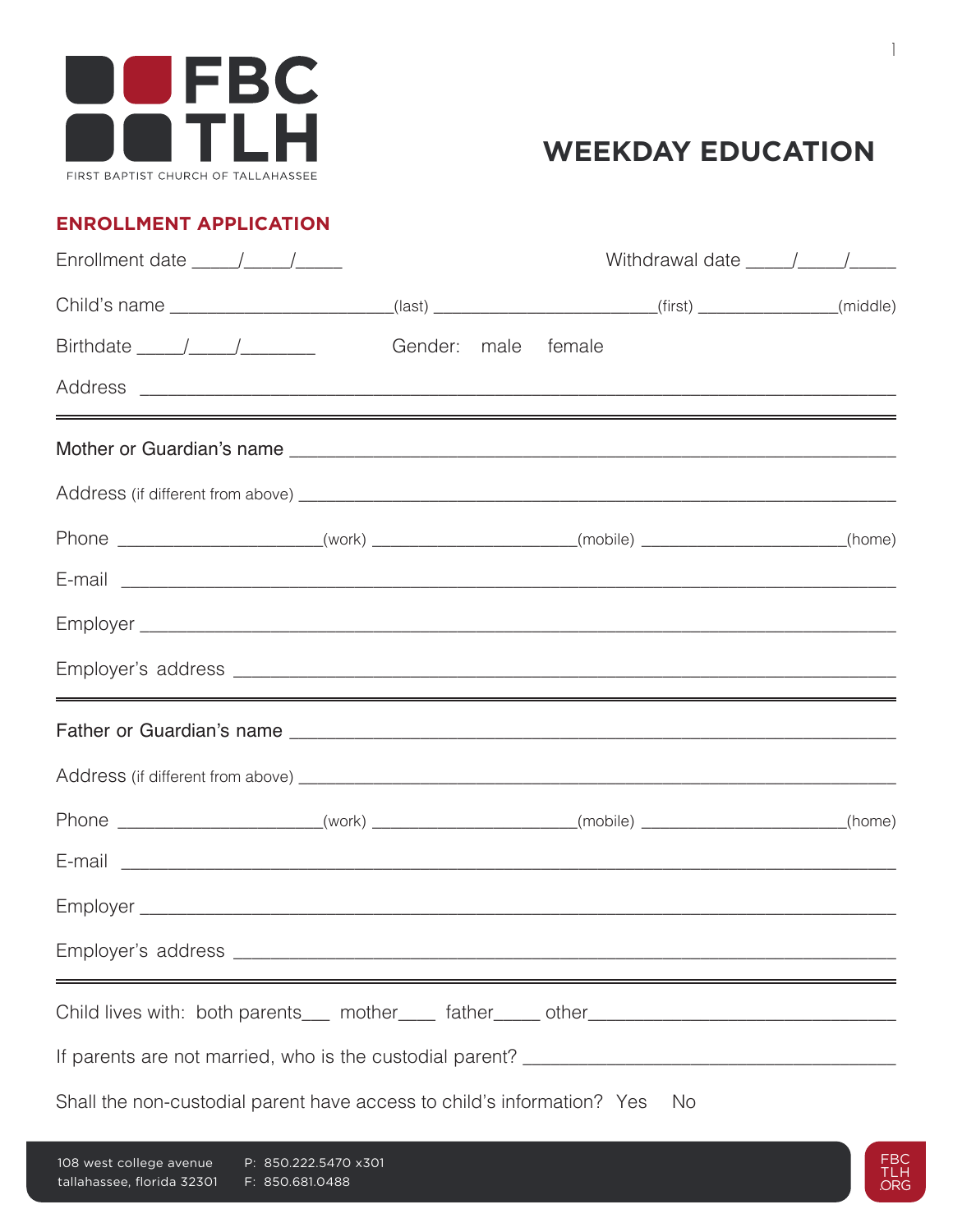

#### **ENROLLMENT APPLICATION**

|                                                                                                                                                                                                                                                                                                                                                                                                                         |                     |  | Withdrawal date $\frac{1}{\sqrt{1-\frac{1}{2}}}\frac{1}{\sqrt{1-\frac{1}{2}}}\frac{1}{\sqrt{1-\frac{1}{2}}}\frac{1}{\sqrt{1-\frac{1}{2}}}\frac{1}{\sqrt{1-\frac{1}{2}}}\frac{1}{\sqrt{1-\frac{1}{2}}}\frac{1}{\sqrt{1-\frac{1}{2}}}\frac{1}{\sqrt{1-\frac{1}{2}}}\frac{1}{\sqrt{1-\frac{1}{2}}}\frac{1}{\sqrt{1-\frac{1}{2}}}\frac{1}{\sqrt{1-\frac{1}{2}}}\frac{1}{\sqrt{1-\frac{1}{2}}}\frac{1}{\sqrt{1-\frac{$ |  |
|-------------------------------------------------------------------------------------------------------------------------------------------------------------------------------------------------------------------------------------------------------------------------------------------------------------------------------------------------------------------------------------------------------------------------|---------------------|--|-------------------------------------------------------------------------------------------------------------------------------------------------------------------------------------------------------------------------------------------------------------------------------------------------------------------------------------------------------------------------------------------------------------------|--|
| Child's name _________________________(last) ______________________(first) _____________(middle)                                                                                                                                                                                                                                                                                                                        |                     |  |                                                                                                                                                                                                                                                                                                                                                                                                                   |  |
| Birthdate $\frac{1}{\sqrt{1-\frac{1}{2}}}\frac{1}{\sqrt{1-\frac{1}{2}}}\frac{1}{\sqrt{1-\frac{1}{2}}}\frac{1}{\sqrt{1-\frac{1}{2}}}\frac{1}{\sqrt{1-\frac{1}{2}}}\frac{1}{\sqrt{1-\frac{1}{2}}}\frac{1}{\sqrt{1-\frac{1}{2}}}\frac{1}{\sqrt{1-\frac{1}{2}}}\frac{1}{\sqrt{1-\frac{1}{2}}}\frac{1}{\sqrt{1-\frac{1}{2}}}\frac{1}{\sqrt{1-\frac{1}{2}}}\frac{1}{\sqrt{1-\frac{1}{2}}}\frac{1}{\sqrt{1-\frac{1}{2}}}\frac$ | Gender: male female |  |                                                                                                                                                                                                                                                                                                                                                                                                                   |  |
|                                                                                                                                                                                                                                                                                                                                                                                                                         |                     |  |                                                                                                                                                                                                                                                                                                                                                                                                                   |  |
|                                                                                                                                                                                                                                                                                                                                                                                                                         |                     |  |                                                                                                                                                                                                                                                                                                                                                                                                                   |  |
|                                                                                                                                                                                                                                                                                                                                                                                                                         |                     |  |                                                                                                                                                                                                                                                                                                                                                                                                                   |  |
| Phone ______________________(work) ____________________(mobile) ________________(home)                                                                                                                                                                                                                                                                                                                                  |                     |  |                                                                                                                                                                                                                                                                                                                                                                                                                   |  |
|                                                                                                                                                                                                                                                                                                                                                                                                                         |                     |  |                                                                                                                                                                                                                                                                                                                                                                                                                   |  |
|                                                                                                                                                                                                                                                                                                                                                                                                                         |                     |  |                                                                                                                                                                                                                                                                                                                                                                                                                   |  |
| <u> 1989 - Andrea Barbara, Amerikaansk politik (d. 1989)</u>                                                                                                                                                                                                                                                                                                                                                            |                     |  |                                                                                                                                                                                                                                                                                                                                                                                                                   |  |
|                                                                                                                                                                                                                                                                                                                                                                                                                         |                     |  |                                                                                                                                                                                                                                                                                                                                                                                                                   |  |
|                                                                                                                                                                                                                                                                                                                                                                                                                         |                     |  |                                                                                                                                                                                                                                                                                                                                                                                                                   |  |
| Phone ______________________(work) ____________________(mobile) ________________(home)                                                                                                                                                                                                                                                                                                                                  |                     |  |                                                                                                                                                                                                                                                                                                                                                                                                                   |  |
|                                                                                                                                                                                                                                                                                                                                                                                                                         |                     |  |                                                                                                                                                                                                                                                                                                                                                                                                                   |  |
|                                                                                                                                                                                                                                                                                                                                                                                                                         |                     |  |                                                                                                                                                                                                                                                                                                                                                                                                                   |  |
|                                                                                                                                                                                                                                                                                                                                                                                                                         |                     |  |                                                                                                                                                                                                                                                                                                                                                                                                                   |  |
| Child lives with: both parents___ mother____ father____ other____________________                                                                                                                                                                                                                                                                                                                                       |                     |  |                                                                                                                                                                                                                                                                                                                                                                                                                   |  |
|                                                                                                                                                                                                                                                                                                                                                                                                                         |                     |  |                                                                                                                                                                                                                                                                                                                                                                                                                   |  |
| Shall the non-custodial parent have access to child's information? Yes                                                                                                                                                                                                                                                                                                                                                  |                     |  | No.                                                                                                                                                                                                                                                                                                                                                                                                               |  |

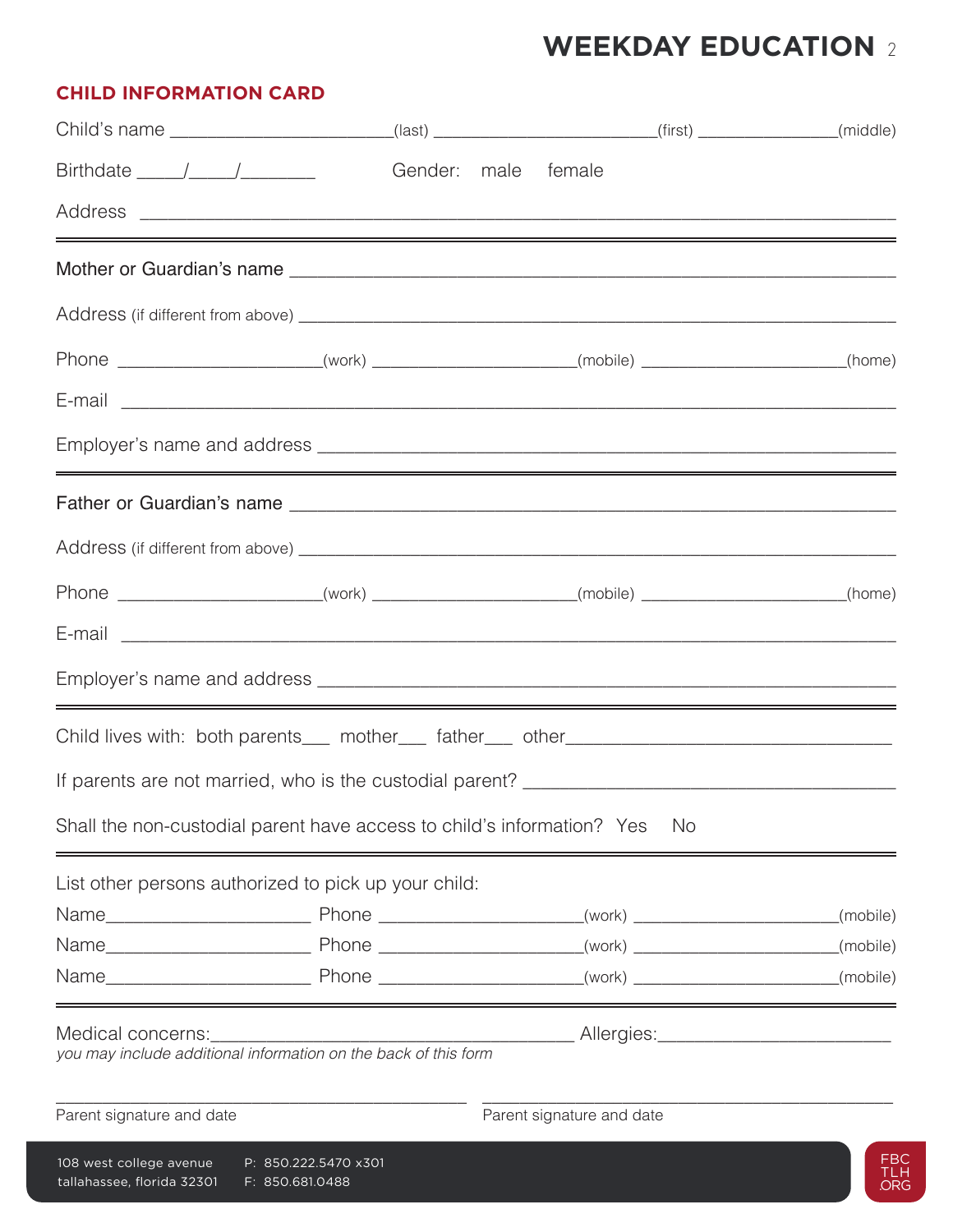|  | <b>CHILD INFORMATION CARD</b> |  |
|--|-------------------------------|--|
|--|-------------------------------|--|

|                                                                  |                                                                        | Child's name __________________________(last) _______________________(first) ______________(middle) |          |
|------------------------------------------------------------------|------------------------------------------------------------------------|-----------------------------------------------------------------------------------------------------|----------|
| $Birthdate$ $\_\_\_\_\_\_\_\_\_\_\_\_\_\_\_\_\_\_\_\_\_\_\_\_\_$ |                                                                        | Gender: male female                                                                                 |          |
|                                                                  |                                                                        |                                                                                                     |          |
|                                                                  |                                                                        | <u> 1989 - Andrea Andrew Maria (h. 1989).</u>                                                       |          |
|                                                                  |                                                                        |                                                                                                     |          |
|                                                                  |                                                                        | Phone _______________________(work) _____________________(mobile) ____________________(home)        |          |
|                                                                  |                                                                        |                                                                                                     |          |
|                                                                  |                                                                        |                                                                                                     |          |
|                                                                  |                                                                        |                                                                                                     |          |
|                                                                  |                                                                        |                                                                                                     |          |
|                                                                  |                                                                        | Phone ______________________(work) _____________________(mobile) _________________(home)            |          |
|                                                                  |                                                                        |                                                                                                     |          |
|                                                                  |                                                                        |                                                                                                     |          |
|                                                                  |                                                                        | Child lives with: both parents___ mother___ father___ other______________________                   |          |
|                                                                  |                                                                        |                                                                                                     |          |
|                                                                  | Shall the non-custodial parent have access to child's information? Yes | No.                                                                                                 |          |
|                                                                  | List other persons authorized to pick up your child:                   |                                                                                                     |          |
|                                                                  |                                                                        |                                                                                                     | (mobile) |
|                                                                  |                                                                        |                                                                                                     | (mobile) |
|                                                                  |                                                                        |                                                                                                     |          |
| Medical concerns:                                                | you may include additional information on the back of this form        |                                                                                                     |          |
| Parent signature and date                                        |                                                                        | Parent signature and date                                                                           |          |
|                                                                  |                                                                        | $108$ west college avenue $P: 850, 222, 5470, x301$                                                 |          |

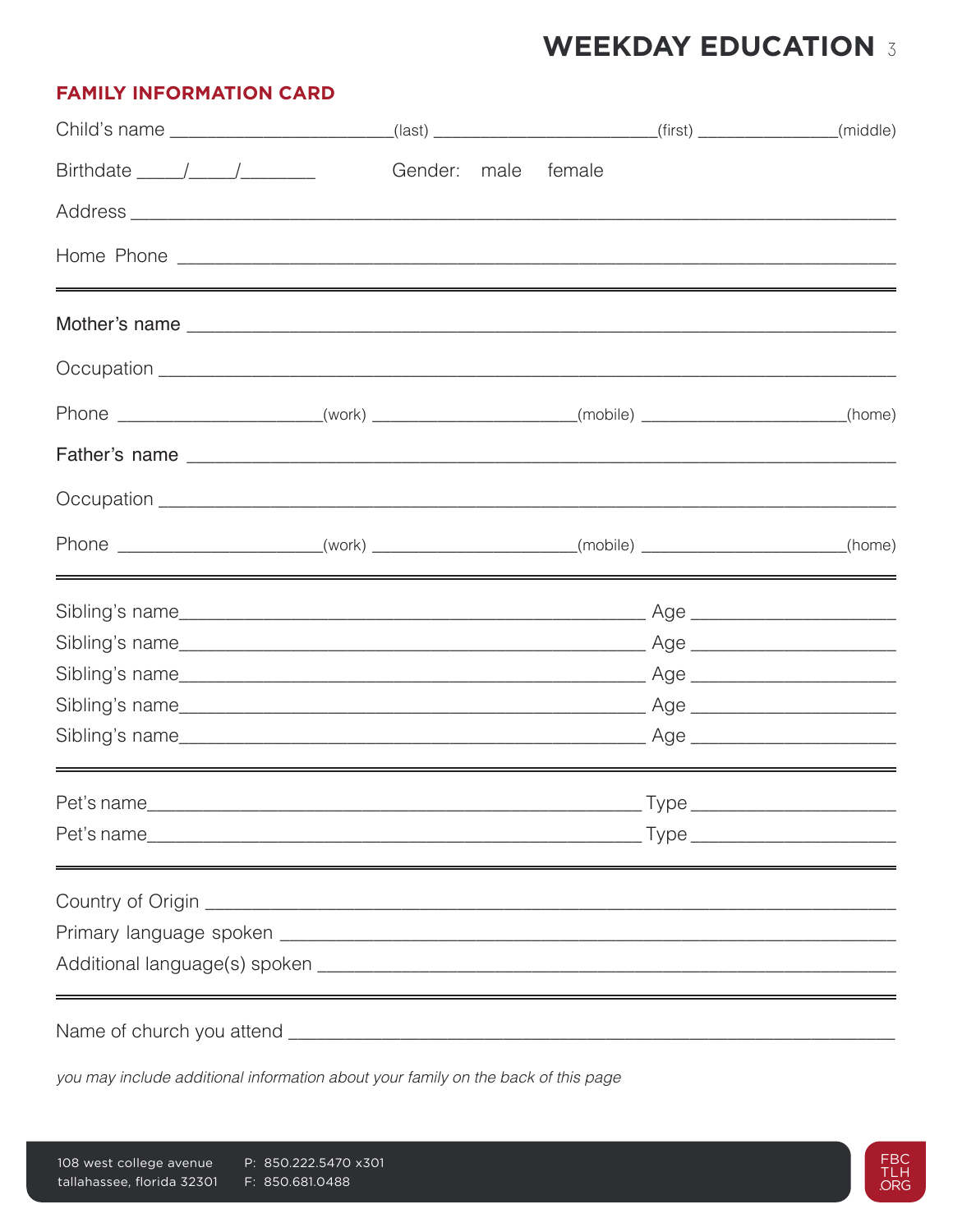### **FAMILY INFORMATION CARD**

| Child's name _________________________(last) _______________________(first) _____________(middle)                                                                                                                                                                                                                                                                                                            |         |      |        |  |
|--------------------------------------------------------------------------------------------------------------------------------------------------------------------------------------------------------------------------------------------------------------------------------------------------------------------------------------------------------------------------------------------------------------|---------|------|--------|--|
| Birthdate $\frac{1}{\sqrt{1-\frac{1}{2}}}\frac{1}{\sqrt{1-\frac{1}{2}}\sqrt{1-\frac{1}{2}}\sqrt{1-\frac{1}{2}}\sqrt{1-\frac{1}{2}}\sqrt{1-\frac{1}{2}}\sqrt{1-\frac{1}{2}}\sqrt{1-\frac{1}{2}}\sqrt{1-\frac{1}{2}}\sqrt{1-\frac{1}{2}}\sqrt{1-\frac{1}{2}}\sqrt{1-\frac{1}{2}}\sqrt{1-\frac{1}{2}}\sqrt{1-\frac{1}{2}}\sqrt{1-\frac{1}{2}}\sqrt{1-\frac{1}{2}}\sqrt{1-\frac{1}{2}}\sqrt{1-\frac{1}{2}}\sqrt$ | Gender: | male | female |  |
|                                                                                                                                                                                                                                                                                                                                                                                                              |         |      |        |  |
| <u> 1989 - Andrea Andrew Maria (h. 1989).</u>                                                                                                                                                                                                                                                                                                                                                                |         |      |        |  |
|                                                                                                                                                                                                                                                                                                                                                                                                              |         |      |        |  |
|                                                                                                                                                                                                                                                                                                                                                                                                              |         |      |        |  |
| Phone ______________________(work) _____________________(mobile) ________________(home)                                                                                                                                                                                                                                                                                                                      |         |      |        |  |
|                                                                                                                                                                                                                                                                                                                                                                                                              |         |      |        |  |
|                                                                                                                                                                                                                                                                                                                                                                                                              |         |      |        |  |
| Phone ______________________(work) _____________________(mobile) ________________(home)                                                                                                                                                                                                                                                                                                                      |         |      |        |  |
|                                                                                                                                                                                                                                                                                                                                                                                                              |         |      |        |  |
|                                                                                                                                                                                                                                                                                                                                                                                                              |         |      |        |  |
|                                                                                                                                                                                                                                                                                                                                                                                                              |         |      |        |  |
|                                                                                                                                                                                                                                                                                                                                                                                                              |         |      |        |  |
|                                                                                                                                                                                                                                                                                                                                                                                                              |         |      |        |  |
|                                                                                                                                                                                                                                                                                                                                                                                                              |         |      |        |  |
|                                                                                                                                                                                                                                                                                                                                                                                                              |         |      |        |  |
|                                                                                                                                                                                                                                                                                                                                                                                                              |         |      |        |  |
|                                                                                                                                                                                                                                                                                                                                                                                                              |         |      |        |  |
|                                                                                                                                                                                                                                                                                                                                                                                                              |         |      |        |  |
|                                                                                                                                                                                                                                                                                                                                                                                                              |         |      |        |  |
|                                                                                                                                                                                                                                                                                                                                                                                                              |         |      |        |  |

you may include additional information about your family on the back of this page

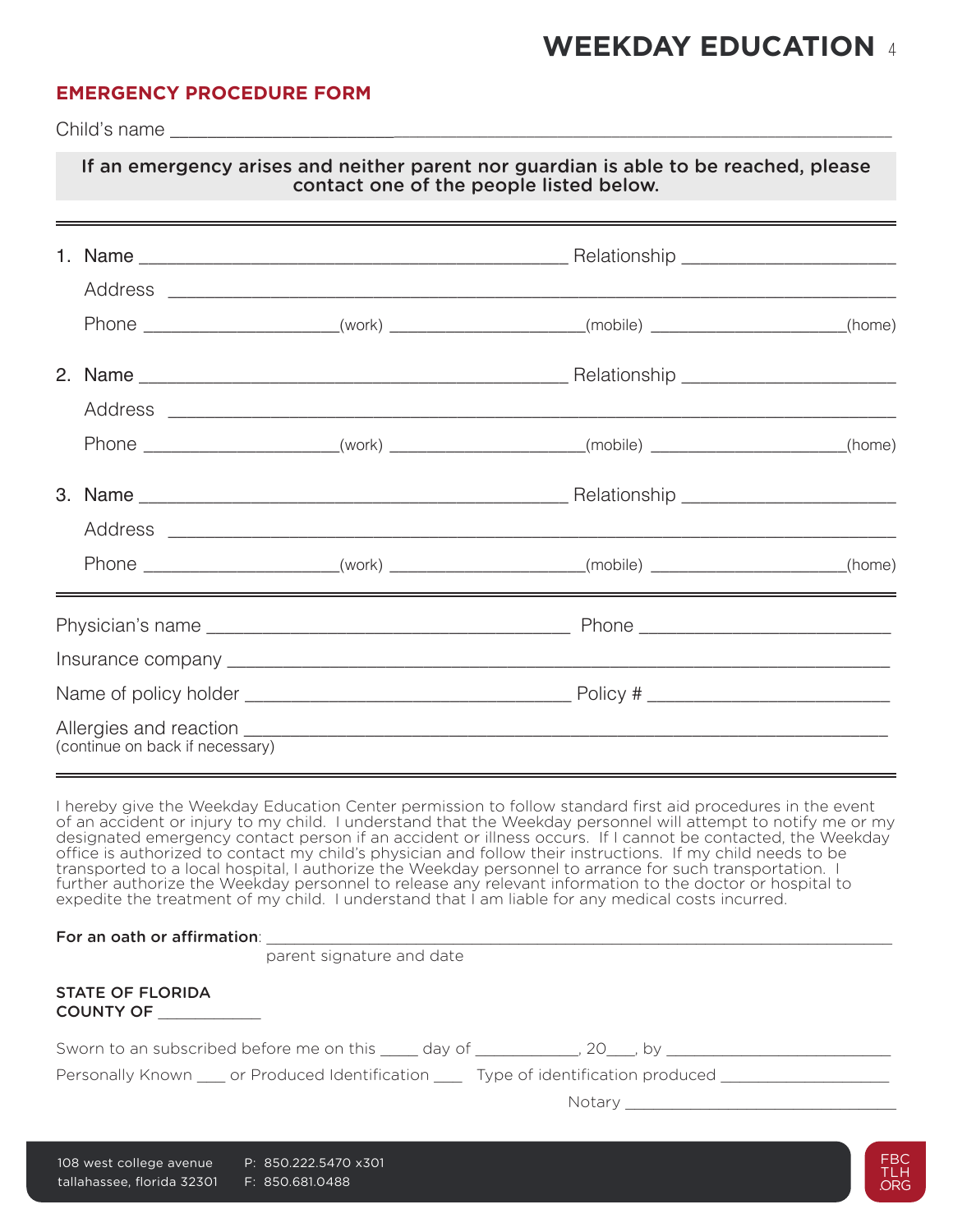### **EMERGENCY PROCEDURE FORM**

Child's name \_\_\_\_\_\_\_\_\_\_\_\_\_\_\_\_\_\_\_\_\_\_\_\_\_\_\_\_\_\_\_\_\_\_\_\_\_\_\_\_\_\_\_\_\_\_\_\_\_\_\_\_\_\_\_\_\_\_\_\_\_\_\_\_\_\_\_\_\_\_\_\_\_\_\_\_\_\_\_\_\_\_\_\_\_\_\_\_

|                                 | If an emergency arises and neither parent nor guardian is able to be reached, please<br>contact one of the people listed below.<br>,我们也不会有什么?""我们的人,我们也不会不会不会。""我们的人,我们也不会不会不会不会。""我们的人,我们也不会不会不会不会。""我们的人,我们的人,我们也 |  |
|---------------------------------|---------------------------------------------------------------------------------------------------------------------------------------------------------------------------------------------------------------------|--|
|                                 |                                                                                                                                                                                                                     |  |
|                                 | Phone ____________________________(work) ________________________(mobile) ______________________(home)                                                                                                              |  |
|                                 |                                                                                                                                                                                                                     |  |
|                                 | Phone _________________________(work) ______________________(mobile) ____________________(home)                                                                                                                     |  |
|                                 |                                                                                                                                                                                                                     |  |
|                                 | Phone _______________________(work) _____________________(mobile) ___________________(home)                                                                                                                         |  |
|                                 |                                                                                                                                                                                                                     |  |
|                                 |                                                                                                                                                                                                                     |  |
| (continue on back if necessary) |                                                                                                                                                                                                                     |  |

I hereby give the Weekday Education Center permission to follow standard first aid procedures in the event of an accident or injury to my child. I understand that the Weekday personnel will attempt to notify me or my designated emergency contact person if an accident or illness occurs. If I cannot be contacted, the Weekday office is authorized to contact my child's physician and follow their instructions. If my child needs to be transported to a local hospital, I authorize the Weekday personnel to arrance for such transportation. I further authorize the Weekday personnel to release any relevant information to the doctor or hospital to expedite the treatment of my child. I understand that I am liable for any medical costs incurred.

| For an oath or affirmation: |  |
|-----------------------------|--|
|                             |  |

parent signature and date

| STATE OF FLORIDA |  |
|------------------|--|
| <b>COUNTY OF</b> |  |

| Sworn to an subscribed before me on this |  |  |
|------------------------------------------|--|--|
|                                          |  |  |

Personally Known cor Produced Identification Type of identification produced

Notary \_\_\_\_\_\_\_\_\_\_\_\_\_\_\_\_\_\_\_\_\_\_\_\_\_\_\_\_\_

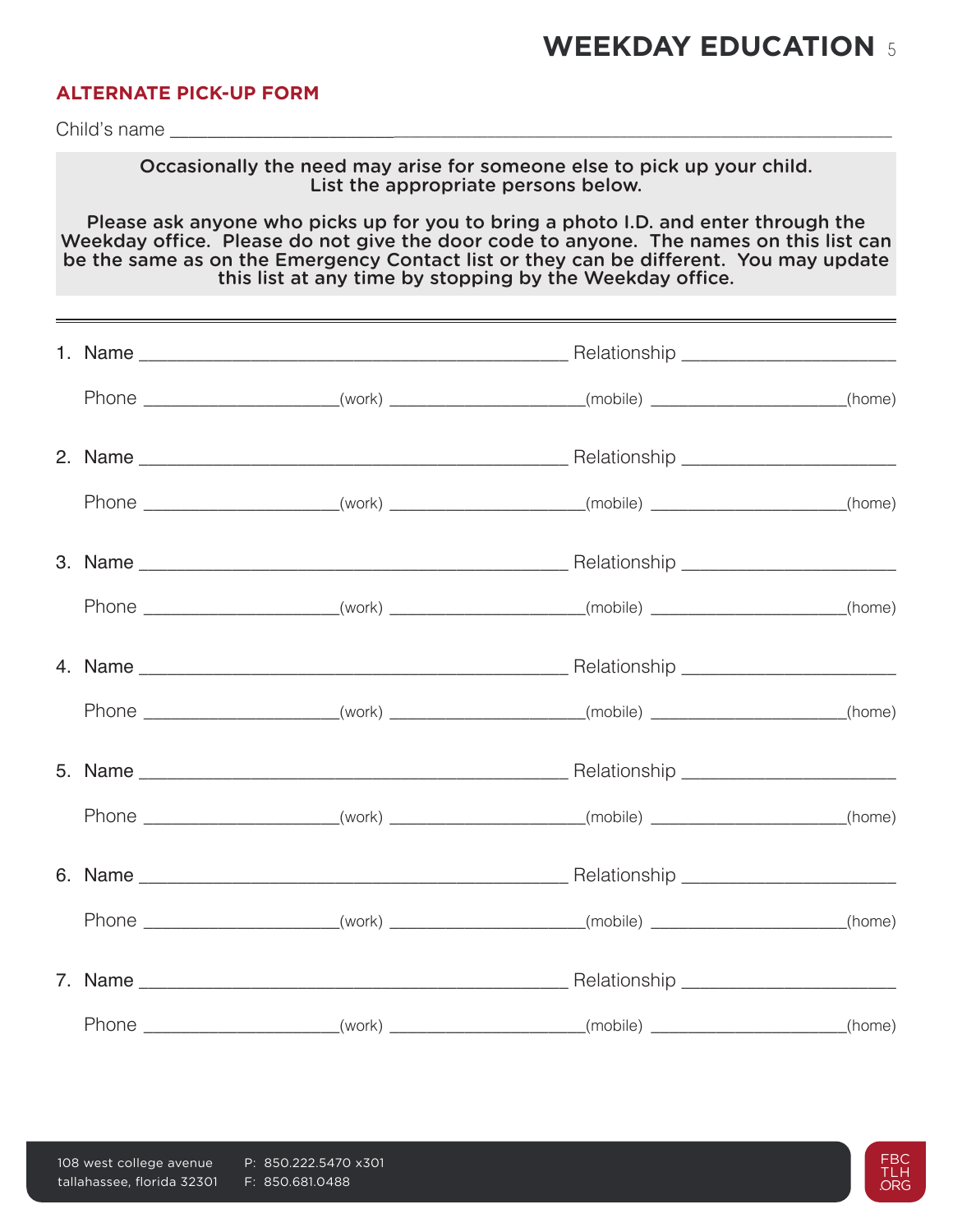### **ALTERNATE PICK-UP FORM**

Child's name

Occasionally the need may arise for someone else to pick up your child. List the appropriate persons below.

Please ask anyone who picks up for you to bring a photo I.D. and enter through the Weekday office. Please do not give the door code to anyone. The names on this list can be the same as on the Emergency Contact list or they can be different. You may update this list at any time by stopping by the Weekday office.

|  | Phone _______________________(work) _____________________(mobile) ___________________(home)   |  |
|--|-----------------------------------------------------------------------------------------------|--|
|  |                                                                                               |  |
|  | Phone ________________________(work) ______________________(mobile) ___________________(home) |  |
|  |                                                                                               |  |
|  | Phone ________________________(work) ______________________(mobile) ___________________(home) |  |
|  |                                                                                               |  |
|  | Phone ________________________(work) ______________________(mobile) ___________________(home) |  |
|  |                                                                                               |  |
|  | Phone _______________________(work) _____________________(mobile) __________________(home)    |  |
|  |                                                                                               |  |
|  | Phone ________________________(work) ______________________(mobile) ___________________(home) |  |

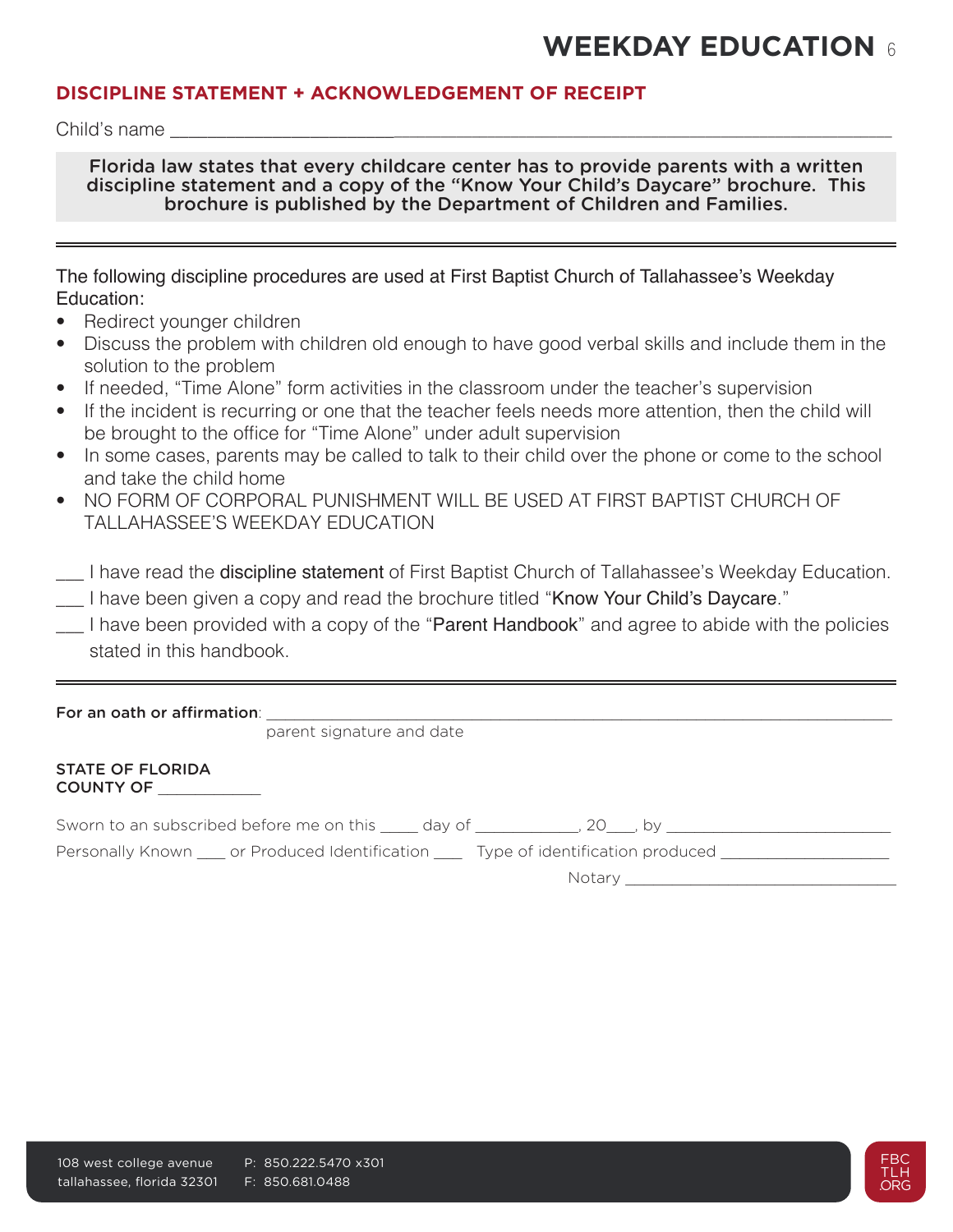### **DISCIPLINE STATEMENT + ACKNOWLEDGEMENT OF RECEIPT**

Child's name

Florida law states that every childcare center has to provide parents with a written discipline statement and a copy of the "Know Your Child's Daycare" brochure. This brochure is published by the Department of Children and Families.

| The following discipline procedures are used at First Baptist Church of Tallahassee's Weekday |  |  |  |
|-----------------------------------------------------------------------------------------------|--|--|--|
| Education:                                                                                    |  |  |  |

- Redirect younger children
- Discuss the problem with children old enough to have good verbal skills and include them in the solution to the problem
- If needed, "Time Alone" form activities in the classroom under the teacher's supervision
- If the incident is recurring or one that the teacher feels needs more attention, then the child will be brought to the office for "Time Alone" under adult supervision
- In some cases, parents may be called to talk to their child over the phone or come to the school and take the child home
- NO FORM OF CORPORAL PUNISHMENT WILL BE USED AT FIRST BAPTIST CHURCH OF TALLAHASSEE'S WEEKDAY EDUCATION
- $\Box$  I have read the **discipline statement** of First Baptist Church of Tallahassee's Weekday Education.
- \_\_\_ I have been given a copy and read the brochure titled "Know Your Child's Daycare."
- I have been provided with a copy of the "Parent Handbook" and agree to abide with the policies stated in this handbook.

#### For an oath or affirmation:

parent signature and date

#### STATE OF FLORIDA COUNTY OF \_\_\_\_\_\_\_\_\_\_\_

Sworn to an subscribed before me on this \_\_\_\_ day of \_\_\_\_\_\_\_\_\_\_, 20\_\_\_, by \_\_\_\_\_\_\_\_\_\_\_\_\_\_\_\_\_\_\_\_\_\_\_\_\_

Personally Known \_\_\_ or Produced Identification \_\_\_ Type of identification produced \_\_\_\_\_\_\_\_\_\_\_\_\_\_\_

Notary \_\_\_\_\_\_\_\_\_\_\_\_\_\_\_\_\_\_\_\_\_\_\_\_\_\_\_\_\_

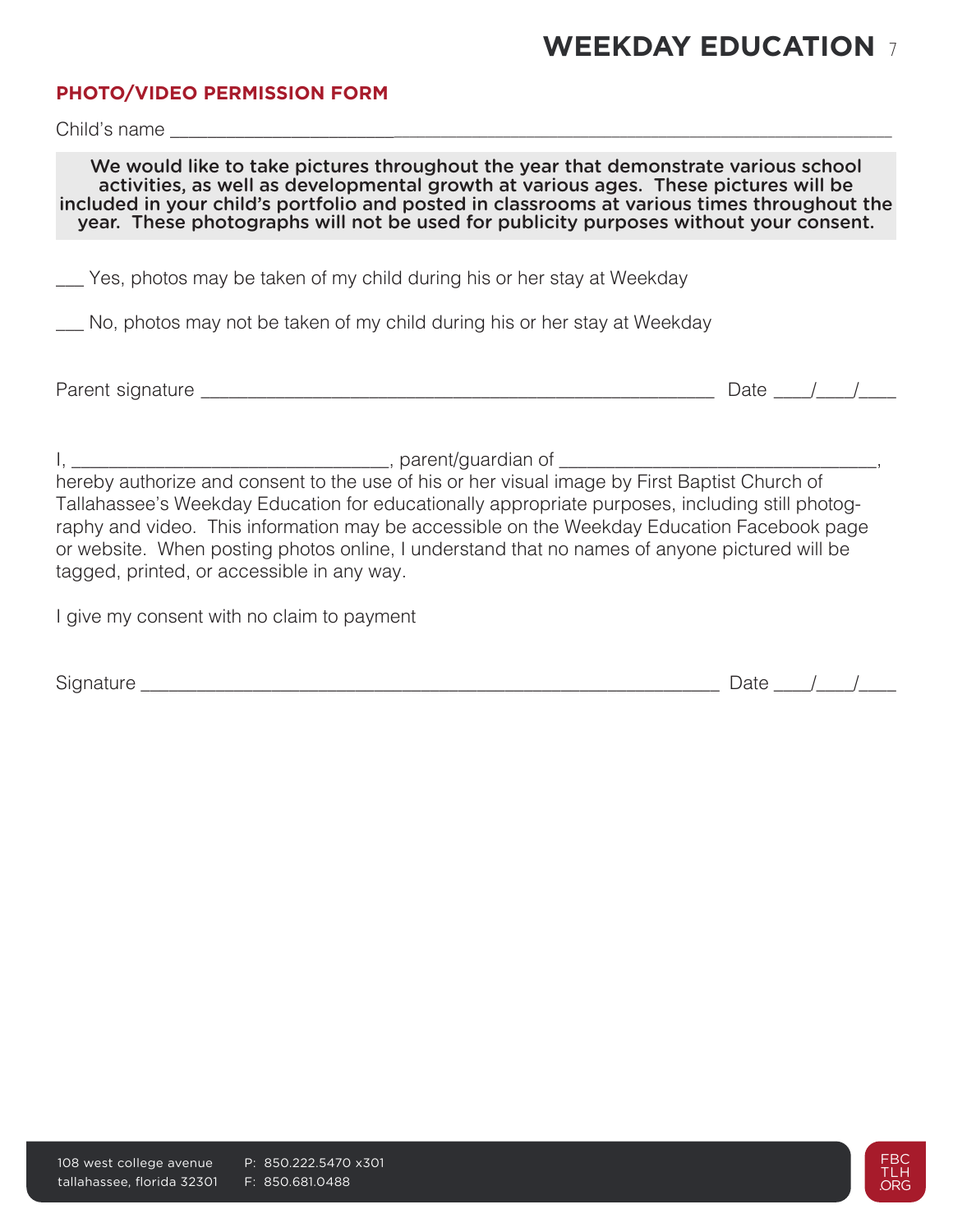### **PHOTO/VIDEO PERMISSION FORM**

Child's name

We would like to take pictures throughout the year that demonstrate various school activities, as well as developmental growth at various ages. These pictures will be included in your child's portfolio and posted in classrooms at various times throughout the year. These photographs will not be used for publicity purposes without your consent.

Yes, photos may be taken of my child during his or her stay at Weekday

\_\_\_ No, photos may not be taken of my child during his or her stay at Weekday

Parent signature \_\_\_\_\_\_\_\_\_\_\_\_\_\_\_\_\_\_\_\_\_\_\_\_\_\_\_\_\_\_\_\_\_\_\_\_\_\_\_\_\_\_\_\_\_\_\_\_\_\_\_\_\_\_\_ Date \_\_\_\_/\_\_\_\_/\_\_\_\_

I, \_\_\_\_\_\_\_\_\_\_\_\_\_\_\_\_\_\_\_\_\_\_\_\_\_\_\_\_\_\_\_\_\_\_, parent/guardian of \_\_\_\_\_\_\_\_\_\_\_\_\_\_\_\_\_\_\_\_\_\_\_\_\_\_\_\_\_\_\_\_\_\_,

hereby authorize and consent to the use of his or her visual image by First Baptist Church of Tallahassee's Weekday Education for educationally appropriate purposes, including still photography and video. This information may be accessible on the Weekday Education Facebook page or website. When posting photos online, I understand that no names of anyone pictured will be tagged, printed, or accessible in any way.

I give my consent with no claim to payment

Signature  $\Box$ 

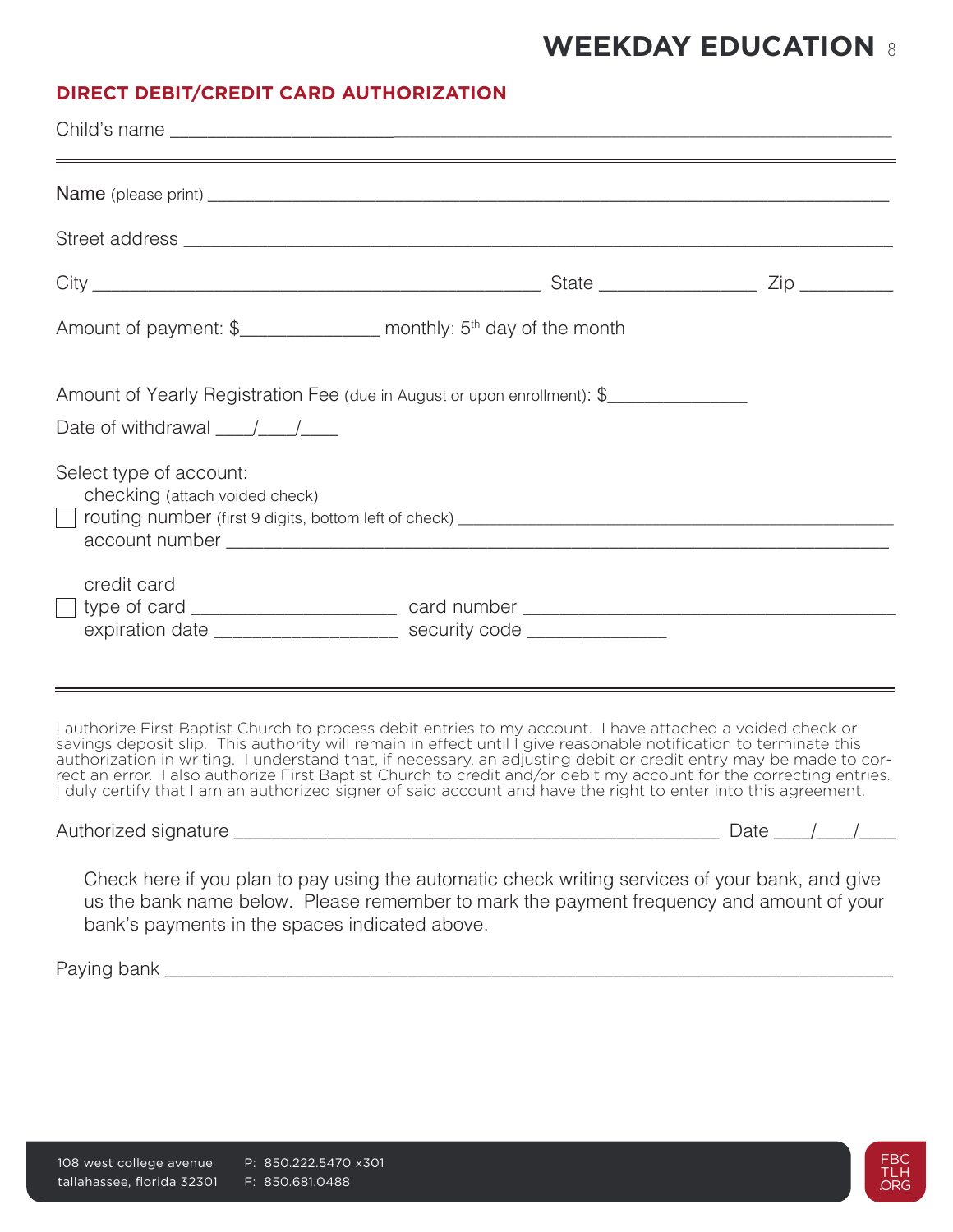## **DIRECT DEBIT/CREDIT CARD AUTHORIZATION**

| Amount of payment: \$__________________ monthly: 5 <sup>th</sup> day of the month                                                                                                                                                                                                                                                                                                                                                                                                                                                                                                            |  |
|----------------------------------------------------------------------------------------------------------------------------------------------------------------------------------------------------------------------------------------------------------------------------------------------------------------------------------------------------------------------------------------------------------------------------------------------------------------------------------------------------------------------------------------------------------------------------------------------|--|
| Amount of Yearly Registration Fee (due in August or upon enrollment): \$                                                                                                                                                                                                                                                                                                                                                                                                                                                                                                                     |  |
| Date of withdrawal $\frac{1}{\sqrt{1-\frac{1}{2}}}$                                                                                                                                                                                                                                                                                                                                                                                                                                                                                                                                          |  |
| Select type of account:<br>checking (attach voided check)                                                                                                                                                                                                                                                                                                                                                                                                                                                                                                                                    |  |
| credit card                                                                                                                                                                                                                                                                                                                                                                                                                                                                                                                                                                                  |  |
| expiration date _______________________ security code _______________                                                                                                                                                                                                                                                                                                                                                                                                                                                                                                                        |  |
| I authorize First Baptist Church to process debit entries to my account. I have attached a voided check or<br>savings deposit slip. This authority will remain in effect until I give reasonable notification to terminate this<br>authorization in writing. I understand that, if necessary, an adjusting debit or credit entry may be made to cor-<br>rect an error. I also authorize First Baptist Church to credit and/or debit my account for the correcting entries.<br>I duly certify that I am an authorized signer of said account and have the right to enter into this agreement. |  |
|                                                                                                                                                                                                                                                                                                                                                                                                                                                                                                                                                                                              |  |
| Check here if you plan to pay using the automatic check writing services of your bank, and give<br>us the bank name below. Please remember to mark the payment frequency and amount of your<br>bank's payments in the spaces indicated above.                                                                                                                                                                                                                                                                                                                                                |  |

Paying bank \_\_\_\_\_\_\_\_\_\_\_\_\_\_\_\_\_\_\_\_\_\_\_\_\_\_\_\_\_\_\_\_\_\_\_\_\_\_\_\_\_\_\_\_\_\_\_\_\_\_\_\_\_\_\_\_\_\_\_\_\_\_\_\_\_\_\_\_\_\_\_\_\_\_\_\_\_\_

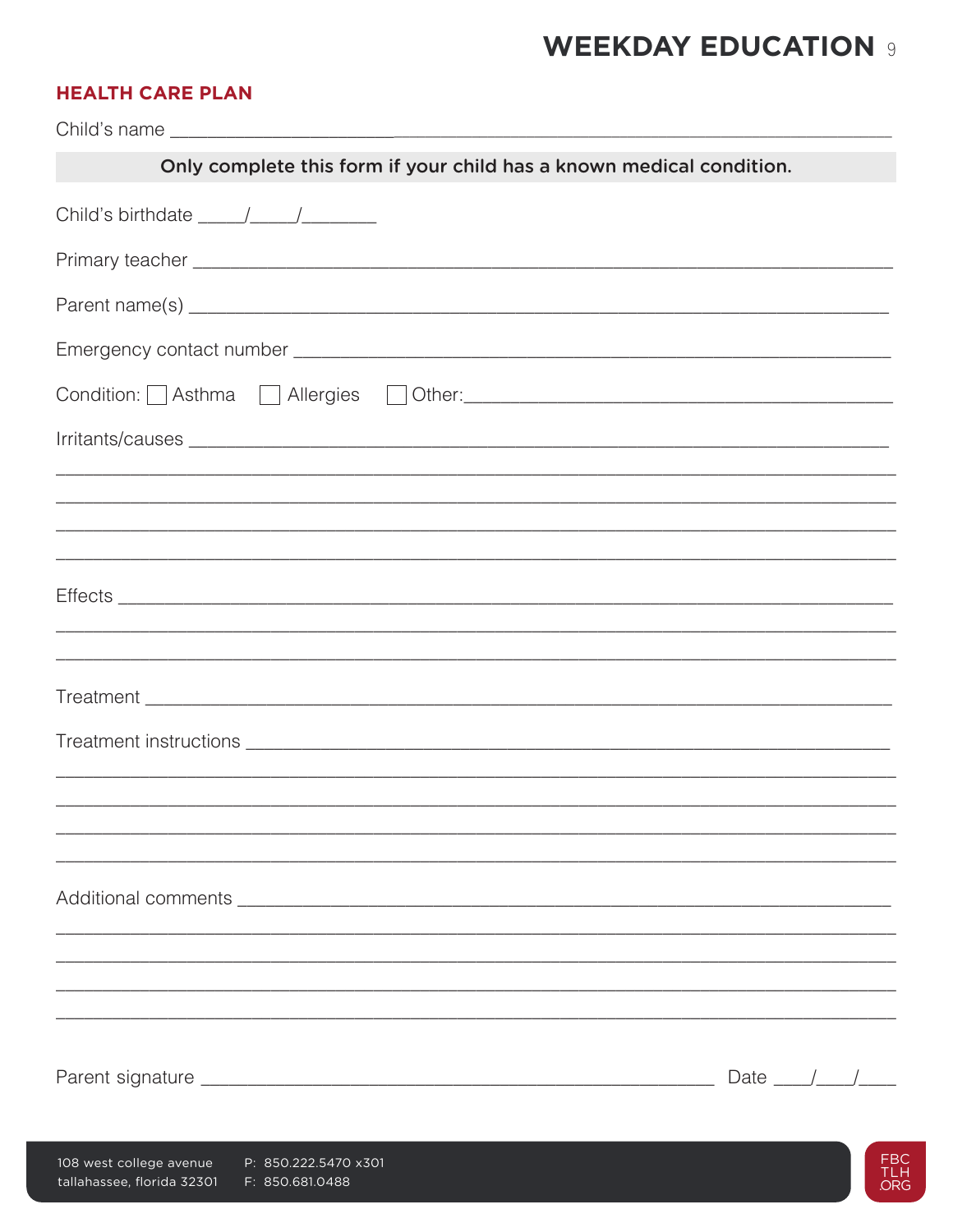## **HEALTH CARE PLAN**

tallahassee, florida 32301 F: 850.681.0488

| Only complete this form if your child has a known medical condition.              |              |    |
|-----------------------------------------------------------------------------------|--------------|----|
|                                                                                   |              |    |
|                                                                                   |              |    |
|                                                                                   |              |    |
|                                                                                   |              |    |
|                                                                                   |              |    |
|                                                                                   |              |    |
| ,我们也不会有什么。""我们的人,我们也不会有什么?""我们的人,我们也不会有什么?""我们的人,我们也不会有什么?""我们的人,我们也不会有什么?""我们的人  |              |    |
| ,我们也不能会在这里,我们也不能会在这里,我们也不能会在这里,我们也不能会在这里,我们也不能会在这里,我们也不能会在这里,我们也不能会不能会不能会。""我们,我们 |              |    |
|                                                                                   |              |    |
|                                                                                   |              |    |
|                                                                                   |              |    |
|                                                                                   |              |    |
|                                                                                   |              |    |
|                                                                                   |              |    |
|                                                                                   | Date $/$ $/$ |    |
| 108 west college avenue<br>P: 850.222.5470 x301                                   |              | FB |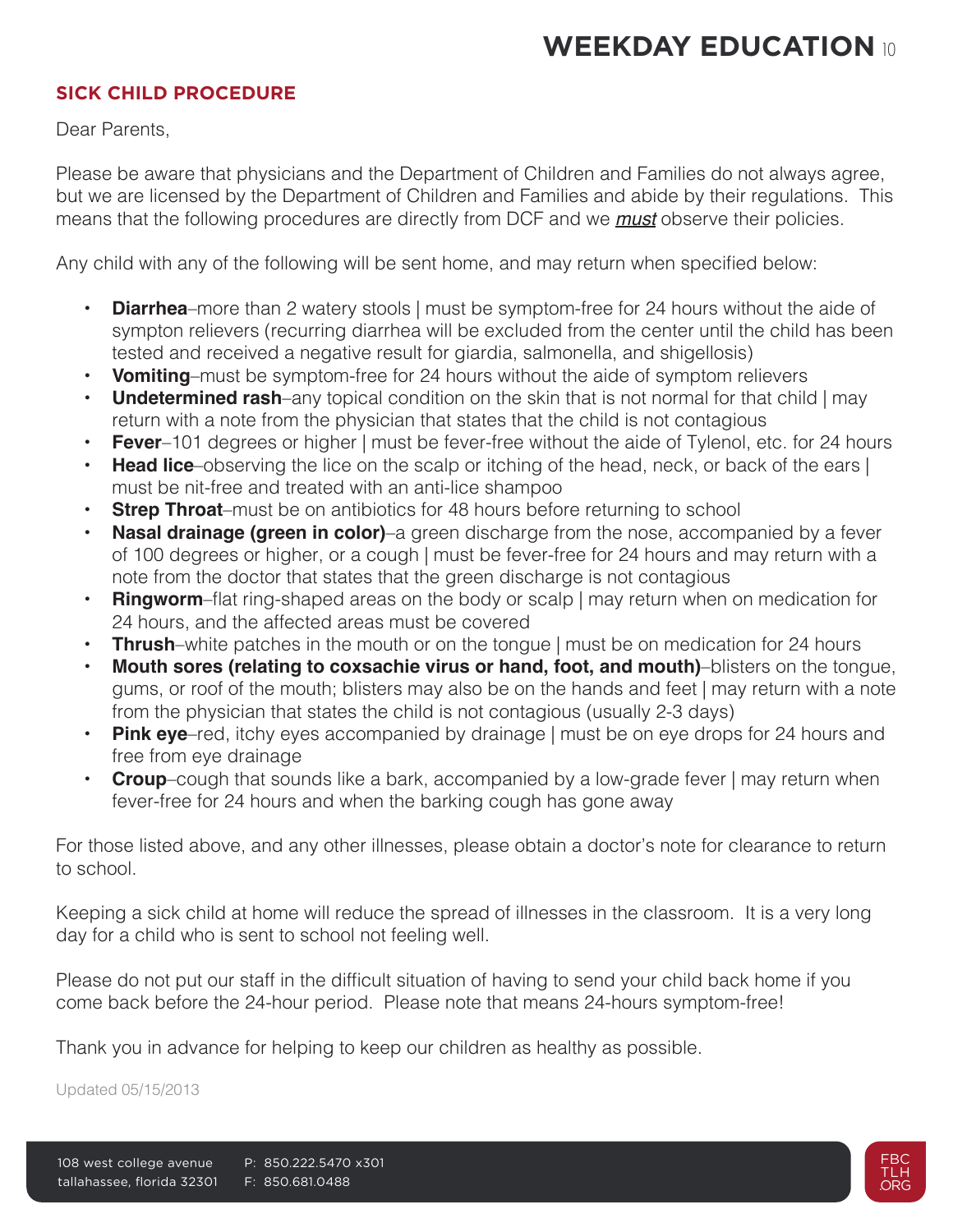### **SICK CHILD PROCEDURE**

Dear Parents,

Please be aware that physicians and the Department of Children and Families do not always agree, but we are licensed by the Department of Children and Families and abide by their regulations. This means that the following procedures are directly from DCF and we *must* observe their policies.

Any child with any of the following will be sent home, and may return when specified below:

- **• Diarrhea**–more than 2 watery stools | must be symptom-free for 24 hours without the aide of sympton relievers (recurring diarrhea will be excluded from the center until the child has been tested and received a negative result for giardia, salmonella, and shigellosis)
- **• Vomiting**–must be symptom-free for 24 hours without the aide of symptom relievers
- **Undetermined rash**–any topical condition on the skin that is not normal for that child | may return with a note from the physician that states that the child is not contagious
- **• Fever**–101 degrees or higher | must be fever-free without the aide of Tylenol, etc. for 24 hours
- **Head lice**–observing the lice on the scalp or itching of the head, neck, or back of the ears | must be nit-free and treated with an anti-lice shampoo
- **Strep Throat-**must be on antibiotics for 48 hours before returning to school
- **Nasal drainage (green in color)–a** green discharge from the nose, accompanied by a fever of 100 degrees or higher, or a cough | must be fever-free for 24 hours and may return with a note from the doctor that states that the green discharge is not contagious
- **Ringworm**–flat ring-shaped areas on the body or scalp I may return when on medication for 24 hours, and the affected areas must be covered
- **Thrush**–white patches in the mouth or on the tongue | must be on medication for 24 hours
- **• Mouth sores (relating to coxsachie virus or hand, foot, and mouth)**–blisters on the tongue, gums, or roof of the mouth; blisters may also be on the hands and feet | may return with a note from the physician that states the child is not contagious (usually 2-3 days)
- **• Pink eye**–red, itchy eyes accompanied by drainage | must be on eye drops for 24 hours and free from eye drainage
- **Croup**–cough that sounds like a bark, accompanied by a low-grade fever | may return when fever-free for 24 hours and when the barking cough has gone away

For those listed above, and any other illnesses, please obtain a doctor's note for clearance to return to school.

Keeping a sick child at home will reduce the spread of illnesses in the classroom. It is a very long day for a child who is sent to school not feeling well.

Please do not put our staff in the difficult situation of having to send your child back home if you come back before the 24-hour period. Please note that means 24-hours symptom-free!

Thank you in advance for helping to keep our children as healthy as possible.

Updated 05/15/2013

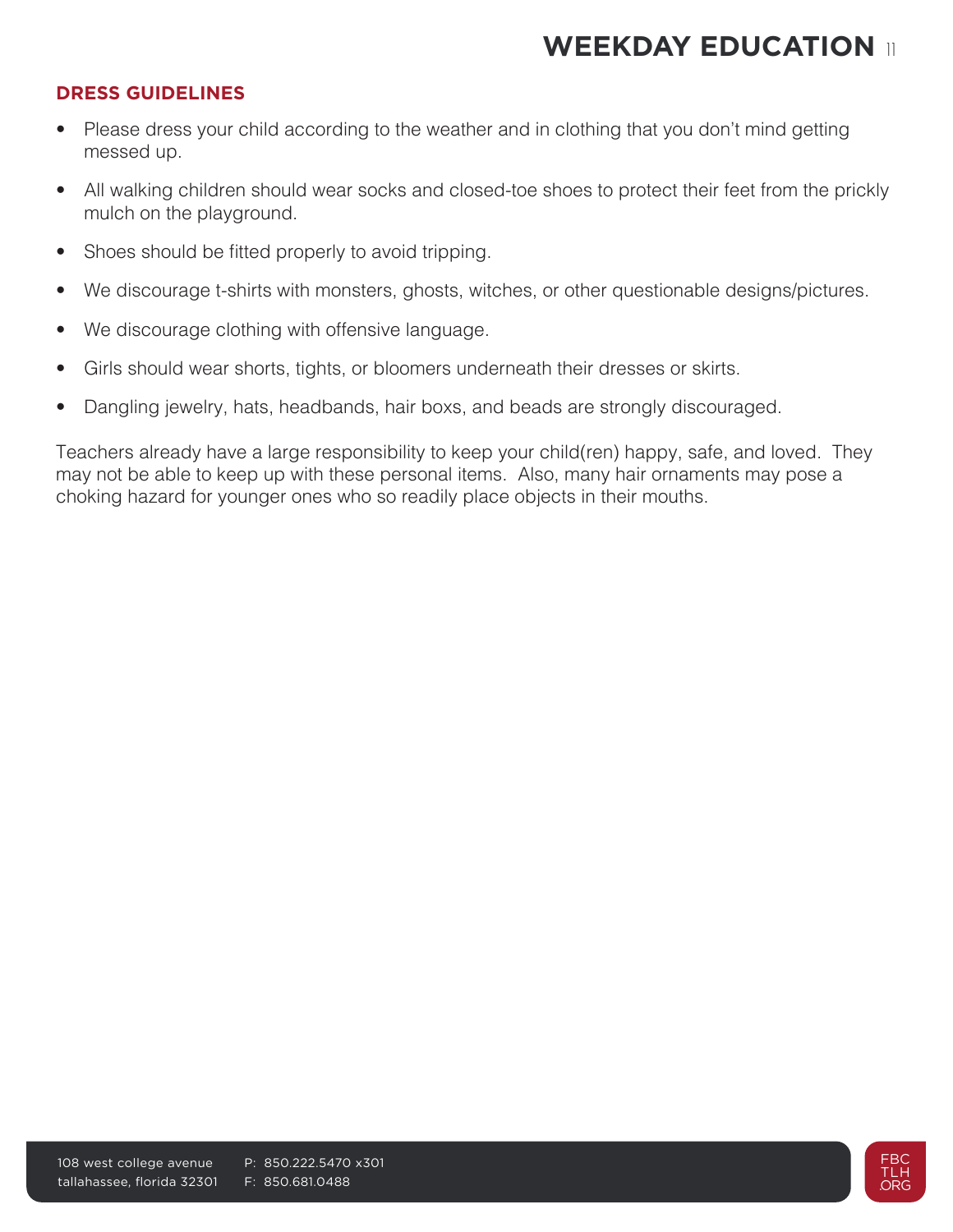### **DRESS GUIDELINES**

- Please dress your child according to the weather and in clothing that you don't mind getting messed up.
- All walking children should wear socks and closed-toe shoes to protect their feet from the prickly mulch on the playground.
- Shoes should be fitted properly to avoid tripping.
- We discourage t-shirts with monsters, ghosts, witches, or other questionable designs/pictures.
- We discourage clothing with offensive language.
- Girls should wear shorts, tights, or bloomers underneath their dresses or skirts.
- Dangling jewelry, hats, headbands, hair boxs, and beads are strongly discouraged.

Teachers already have a large responsibility to keep your child(ren) happy, safe, and loved. They may not be able to keep up with these personal items. Also, many hair ornaments may pose a choking hazard for younger ones who so readily place objects in their mouths.

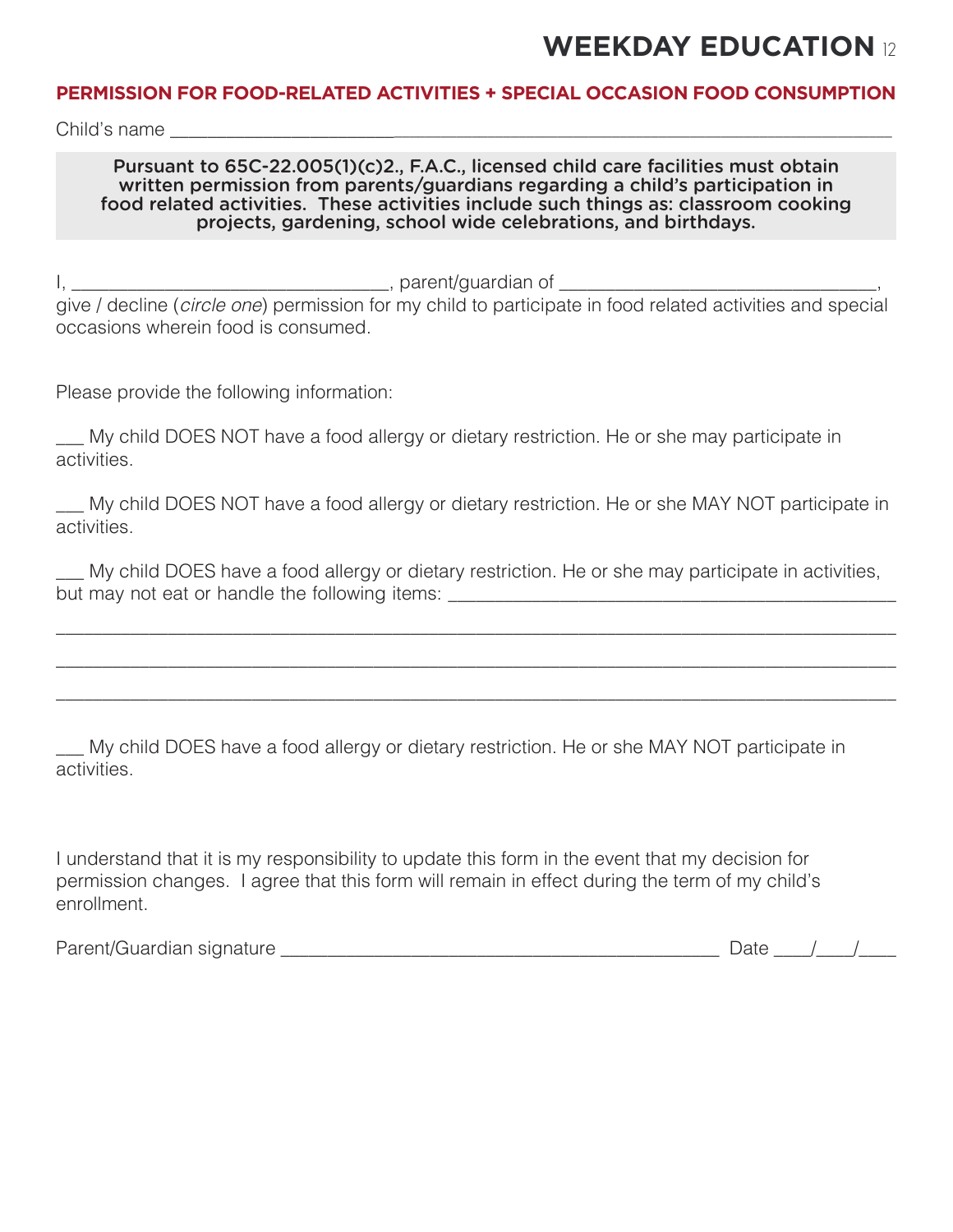### **PERMISSION FOR FOOD-RELATED ACTIVITIES + SPECIAL OCCASION FOOD CONSUMPTION**

Child's name

#### Pursuant to 65C-22.005(1)(c)2., F.A.C., licensed child care facilities must obtain written permission from parents/guardians regarding a child's participation in food related activities. These activities include such things as: classroom cooking projects, gardening, school wide celebrations, and birthdays.

I, \_\_\_\_\_\_\_\_\_\_\_\_\_\_\_\_\_\_\_\_\_\_\_\_\_\_\_\_\_\_\_\_\_\_, parent/guardian of \_\_\_\_\_\_\_\_\_\_\_\_\_\_\_\_\_\_\_\_\_\_\_\_\_\_\_\_\_\_\_\_\_\_,

give / decline (*circle one*) permission for my child to participate in food related activities and special occasions wherein food is consumed.

Please provide the following information:

My child DOES NOT have a food allergy or dietary restriction. He or she may participate in activities.

\_\_\_ My child DOES NOT have a food allergy or dietary restriction. He or she MAY NOT participate in activities.

\_\_\_ My child DOES have a food allergy or dietary restriction. He or she may participate in activities, but may not eat or handle the following items: \_\_\_\_\_\_\_\_\_\_\_\_\_\_\_\_\_\_\_\_\_\_\_\_\_\_\_\_\_\_\_\_\_\_\_\_\_\_\_\_\_\_\_\_\_\_\_\_

\_\_\_\_\_\_\_\_\_\_\_\_\_\_\_\_\_\_\_\_\_\_\_\_\_\_\_\_\_\_\_\_\_\_\_\_\_\_\_\_\_\_\_\_\_\_\_\_\_\_\_\_\_\_\_\_\_\_\_\_\_\_\_\_\_\_\_\_\_\_\_\_\_\_\_\_\_\_\_\_\_\_\_\_\_\_\_\_\_\_

\_\_\_\_\_\_\_\_\_\_\_\_\_\_\_\_\_\_\_\_\_\_\_\_\_\_\_\_\_\_\_\_\_\_\_\_\_\_\_\_\_\_\_\_\_\_\_\_\_\_\_\_\_\_\_\_\_\_\_\_\_\_\_\_\_\_\_\_\_\_\_\_\_\_\_\_\_\_\_\_\_\_\_\_\_\_\_\_\_\_

\_\_\_\_\_\_\_\_\_\_\_\_\_\_\_\_\_\_\_\_\_\_\_\_\_\_\_\_\_\_\_\_\_\_\_\_\_\_\_\_\_\_\_\_\_\_\_\_\_\_\_\_\_\_\_\_\_\_\_\_\_\_\_\_\_\_\_\_\_\_\_\_\_\_\_\_\_\_\_\_\_\_\_\_\_\_\_\_\_\_

\_\_\_ My child DOES have a food allergy or dietary restriction. He or she MAY NOT participate in activities.

I understand that it is my responsibility to update this form in the event that my decision for permission changes. I agree that this form will remain in effect during the term of my child's enrollment.

Parent/Guardian signature \_\_\_\_\_\_\_\_\_\_\_\_\_\_\_\_\_\_\_\_\_\_\_\_\_\_\_\_\_\_\_\_\_\_\_\_\_\_\_\_\_\_\_\_\_\_\_ Date \_\_\_\_/\_\_\_\_/\_\_\_\_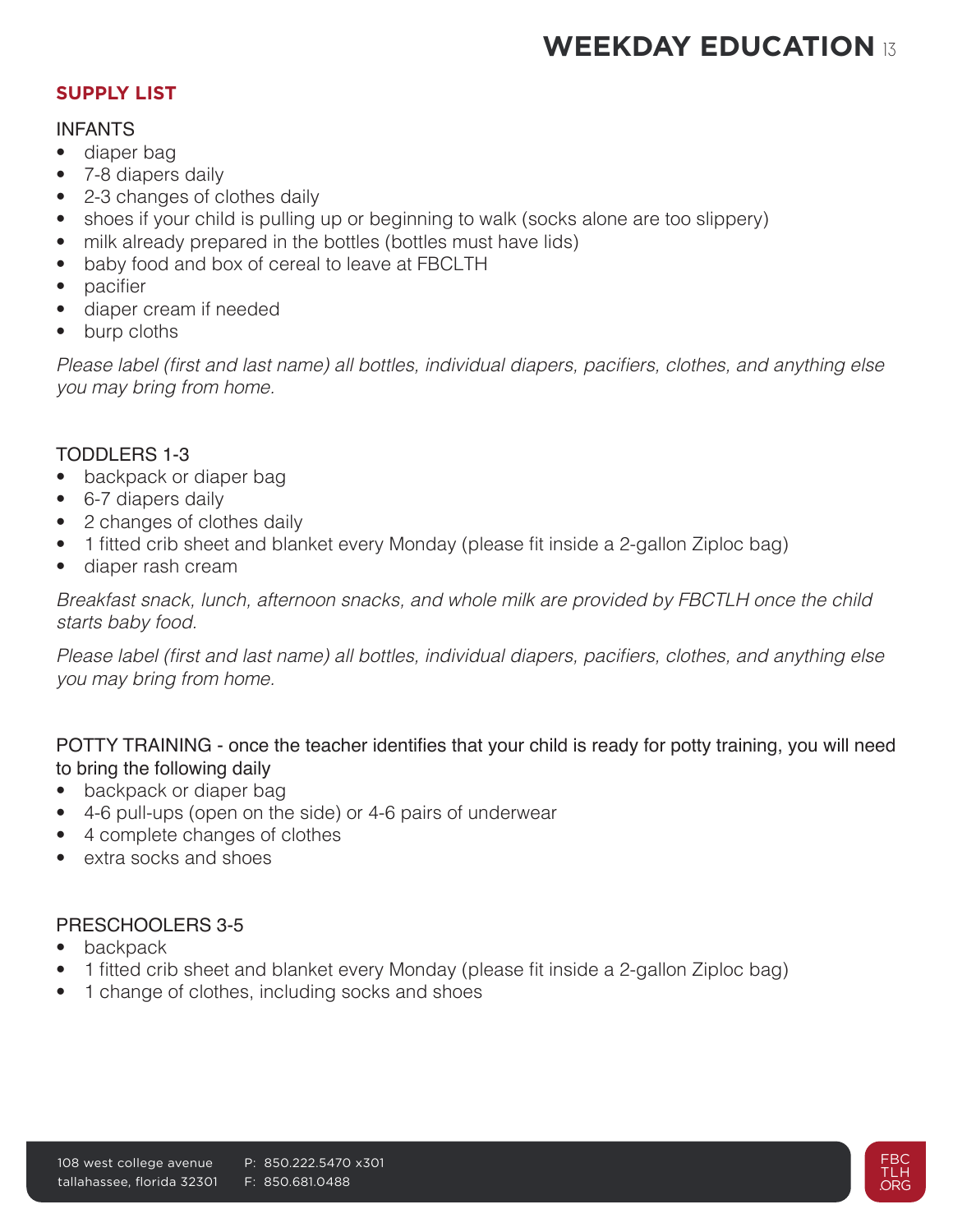### **SUPPLY LIST**

### INFANTS

- diaper bag
- 7-8 diapers daily
- 2-3 changes of clothes daily
- shoes if your child is pulling up or beginning to walk (socks alone are too slippery)
- milk already prepared in the bottles (bottles must have lids)
- baby food and box of cereal to leave at FBCLTH
- pacifier
- diaper cream if needed
- burp cloths

Please label (first and last name) all bottles, individual diapers, pacifiers, clothes, and anything else *you may bring from home.*

### TODDLERS 1-3

- backpack or diaper bag
- 6-7 diapers daily
- 2 changes of clothes daily
- 1 fitted crib sheet and blanket every Monday (please fit inside a 2-gallon Ziploc bag)
- diaper rash cream

Breakfast snack, lunch, afternoon snacks, and whole milk are provided by FBCTLH once the child *starts baby food.*

Please label (first and last name) all bottles, individual diapers, pacifiers, clothes, and anything else *you may bring from home.*

### POTTY TRAINING - once the teacher identifies that your child is ready for potty training, you will need to bring the following daily

- backpack or diaper bag
- 4-6 pull-ups (open on the side) or 4-6 pairs of underwear
- 4 complete changes of clothes
- extra socks and shoes

### PRESCHOOLERS 3-5

- backpack
- 1 fitted crib sheet and blanket every Monday (please fit inside a 2-gallon Ziploc bag)
- 1 change of clothes, including socks and shoes